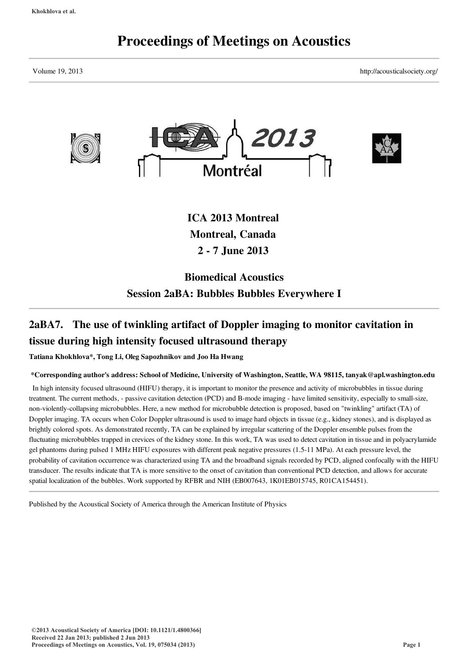## Proceedings of Meetings on Acoustics

Volume 19, 2013 http://acousticalsociety.org/



# 2aBA7. The use of twinkling artifact of Doppler imaging to monitor cavitation in

Session 2aBA: Bubbles Bubbles Everywhere I

### tissue during high intensity focused ultrasound therapy

Tatiana Khokhlova\*, Tong Li, Oleg Sapozhnikov and Joo Ha Hwang

#### \*Corresponding author's address: School of Medicine, University of Washington, Seattle, WA 98115, tanyak@apl.washington.edu

In high intensity focused ultrasound (HIFU) therapy, it is important to monitor the presence and activity of microbubbles in tissue during treatment. The current methods, - passive cavitation detection (PCD) and B-mode imaging - have limited sensitivity, especially to small-size, non-violently-collapsing microbubbles. Here, a new method for microbubble detection is proposed, based on "twinkling" artifact (TA) of Doppler imaging. TA occurs when Color Doppler ultrasound is used to image hard objects in tissue (e.g., kidney stones), and is displayed as brightly colored spots. As demonstrated recently, TA can be explained by irregular scattering of the Doppler ensemble pulses from the fluctuating microbubbles trapped in crevices of the kidney stone. In this work, TA was used to detect cavitation in tissue and in polyacrylamide gel phantoms during pulsed 1 MHz HIFU exposures with different peak negative pressures (1.5-11 MPa). At each pressure level, the probability of cavitation occurrence was characterized using TA and the broadband signals recorded by PCD, aligned confocally with the HIFU transducer. The results indicate that TA is more sensitive to the onset of cavitation than conventional PCD detection, and allows for accurate spatial localization of the bubbles. Work supported by RFBR and NIH (EB007643, 1K01EB015745, R01CA154451).

Published by the Acoustical Society of America through the American Institute of Physics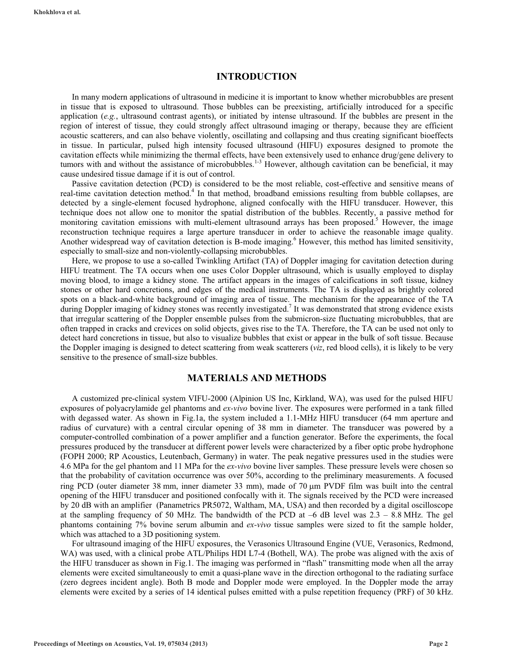#### **INTRODUCTION**

In many modern applications of ultrasound in medicine it is important to know whether microbubbles are present in tissue that is exposed to ultrasound. Those bubbles can be preexisting, artificially introduced for a specific application (*e.g.*, ultrasound contrast agents), or initiated by intense ultrasound. If the bubbles are present in the region of interest of tissue, they could strongly affect ultrasound imaging or therapy, because they are efficient acoustic scatterers, and can also behave violently, oscillating and collapsing and thus creating significant bioeffects in tissue. In particular, pulsed high intensity focused ultrasound (HIFU) exposures designed to promote the cavitation effects while minimizing the thermal effects, have been extensively used to enhance drug/gene delivery to tumors with and without the assistance of microbubbles.<sup>1-3</sup> However, although cavitation can be beneficial, it may cause undesired tissue damage if it is out of control.

Passive cavitation detection (PCD) is considered to be the most reliable, cost-effective and sensitive means of real-time cavitation detection method.<sup>4</sup> In that method, broadband emissions resulting from bubble collapses, are detected by a single-element focused hydrophone, aligned confocally with the HIFU transducer. However, this technique does not allow one to monitor the spatial distribution of the bubbles. Recently, a passive method for monitoring cavitation emissions with multi-element ultrasound arrays has been proposed.<sup>5</sup> However, the image reconstruction technique requires a large aperture transducer in order to achieve the reasonable image quality. Another widespread way of cavitation detection is B-mode imaging.<sup>6</sup> However, this method has limited sensitivity, especially to small-size and non-violently-collapsing microbubbles.

Here, we propose to use a so-called Twinkling Artifact (TA) of Doppler imaging for cavitation detection during HIFU treatment. The TA occurs when one uses Color Doppler ultrasound, which is usually employed to display moving blood, to image a kidney stone. The artifact appears in the images of calcifications in soft tissue, kidney stones or other hard concretions, and edges of the medical instruments. The TA is displayed as brightly colored spots on a black-and-white background of imaging area of tissue. The mechanism for the appearance of the TA during Doppler imaging of kidney stones was recently investigated.<sup>7</sup> It was demonstrated that strong evidence exists that irregular scattering of the Doppler ensemble pulses from the submicron-size fluctuating microbubbles, that are often trapped in cracks and crevices on solid objects, gives rise to the TA. Therefore, the TA can be used not only to detect hard concretions in tissue, but also to visualize bubbles that exist or appear in the bulk of soft tissue. Because the Doppler imaging is designed to detect scattering from weak scatterers (*viz*, red blood cells), it is likely to be very sensitive to the presence of small-size bubbles.

#### **MATERIALS AND METHODS**

A customized pre-clinical system VIFU-2000 (Alpinion US Inc, Kirkland, WA), was used for the pulsed HIFU exposures of polyacrylamide gel phantoms and *ex-vivo* bovine liver. The exposures were performed in a tank filled with degassed water. As shown in Fig.1a, the system included a 1.1-MHz HIFU transducer (64 mm aperture and radius of curvature) with a central circular opening of 38 mm in diameter. The transducer was powered by a computer-controlled combination of a power amplifier and a function generator. Before the experiments, the focal pressures produced by the transducer at different power levels were characterized by a fiber optic probe hydrophone (FOPH 2000; RP Acoustics, Leutenbach, Germany) in water. The peak negative pressures used in the studies were 4.6 MPa for the gel phantom and 11 MPa for the *ex-vivo* bovine liver samples. These pressure levels were chosen so that the probability of cavitation occurrence was over 50%, according to the preliminary measurements. A focused ring PCD (outer diameter 38 mm, inner diameter 33 mm), made of 70 µm PVDF film was built into the central opening of the HIFU transducer and positioned confocally with it. The signals received by the PCD were increased by 20 dB with an amplifier (Panametrics PR5072, Waltham, MA, USA) and then recorded by a digital oscilloscope at the sampling frequency of 50 MHz. The bandwidth of the PCD at  $-6$  dB level was  $2.3 - 8.8$  MHz. The gel phantoms containing 7% bovine serum albumin and *ex-vivo* tissue samples were sized to fit the sample holder, which was attached to a 3D positioning system.

For ultrasound imaging of the HIFU exposures, the Verasonics Ultrasound Engine (VUE, Verasonics, Redmond, WA) was used, with a clinical probe ATL/Philips HDI L7-4 (Bothell, WA). The probe was aligned with the axis of the HIFU transducer as shown in Fig.1. The imaging was performed in "flash" transmitting mode when all the array elements were excited simultaneously to emit a quasi-plane wave in the direction orthogonal to the radiating surface (zero degrees incident angle). Both B mode and Doppler mode were employed. In the Doppler mode the array elements were excited by a series of 14 identical pulses emitted with a pulse repetition frequency (PRF) of 30 kHz.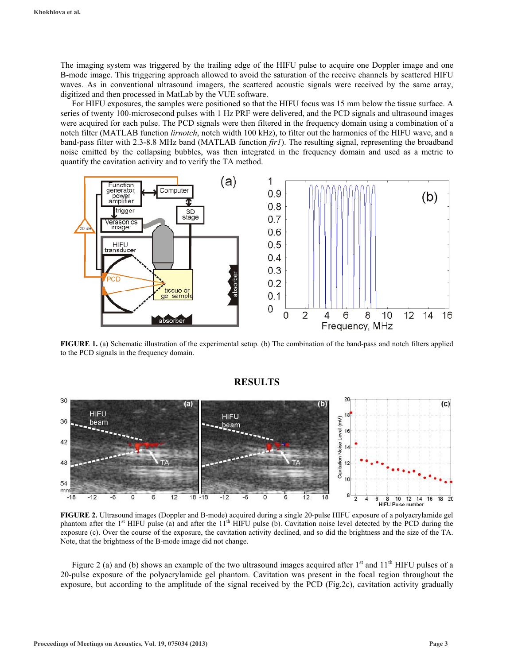The imaging system was triggered by the trailing edge of the HIFU pulse to acquire one Doppler image and one B-mode image. This triggering approach allowed to avoid the saturation of the receive channels by scattered HIFU waves. As in conventional ultrasound imagers, the scattered acoustic signals were received by the same array, digitized and then processed in MatLab by the VUE software.

For HIFU exposures, the samples were positioned so that the HIFU focus was 15 mm below the tissue surface. A series of twenty 100-microsecond pulses with 1 Hz PRF were delivered, and the PCD signals and ultrasound images were acquired for each pulse. The PCD signals were then filtered in the frequency domain using a combination of a notch filter (MATLAB function *lirnotch*, notch width 100 kHz), to filter out the harmonics of the HIFU wave, and a band-pass filter with 2.3-8.8 MHz band (MATLAB function *fir1*). The resulting signal, representing the broadband noise emitted by the collapsing bubbles, was then integrated in the frequency domain and used as a metric to quantify the cavitation activity and to verify the TA method.



**FIGURE 1.** (a) Schematic illustration of the experimental setup. (b) The combination of the band-pass and notch filters applied to the PCD signals in the frequency domain.



#### **RESULTS**

**FIGURE 2.** Ultrasound images (Doppler and B-mode) acquired during a single 20-pulse HIFU exposure of a polyacrylamide gel phantom after the  $1<sup>st</sup>$  HIFU pulse (a) and after the  $11<sup>th</sup>$  HIFU pulse (b). Cavitation noise level detected by the PCD during the exposure (c). Over the course of the exposure, the cavitation activity declined, and so did the brightness and the size of the TA. Note, that the brightness of the B-mode image did not change.

Figure 2 (a) and (b) shows an example of the two ultrasound images acquired after  $1<sup>st</sup>$  and  $11<sup>th</sup>$  HIFU pulses of a 20-pulse exposure of the polyacrylamide gel phantom. Cavitation was present in the focal region throughout the exposure, but according to the amplitude of the signal received by the PCD (Fig.2c), cavitation activity gradually